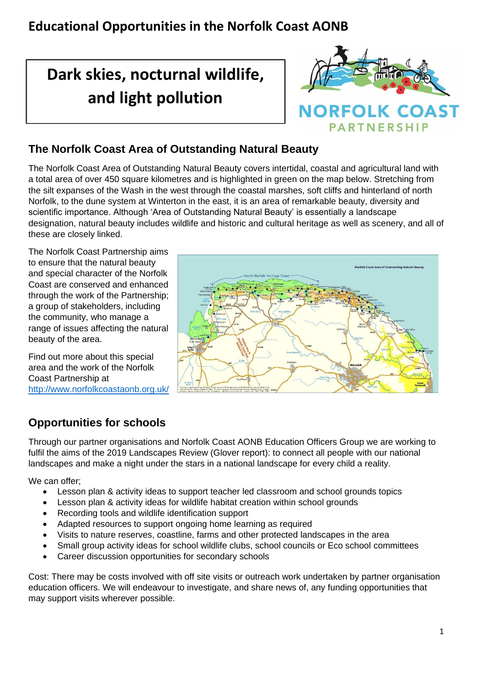# **Dark skies, nocturnal wildlife, and light pollution**



### **The Norfolk Coast Area of Outstanding Natural Beauty**

The Norfolk Coast Area of Outstanding Natural Beauty covers intertidal, coastal and agricultural land with a total area of over 450 square kilometres and is highlighted in green on the map below. Stretching from the silt expanses of the Wash in the west through the coastal marshes, soft cliffs and hinterland of north Norfolk, to the dune system at Winterton in the east, it is an area of remarkable beauty, diversity and scientific importance. Although 'Area of Outstanding Natural Beauty' is essentially a landscape designation, natural beauty includes wildlife and historic and cultural heritage as well as scenery, and all of these are closely linked.

The Norfolk Coast Partnership aims to ensure that the natural beauty and special character of the Norfolk Coast are conserved and enhanced through the work of the Partnership; a group of stakeholders, including the community, who manage a range of issues affecting the natural beauty of the area.

Find out more about this special area and the work of the Norfolk Coast Partnership at <http://www.norfolkcoastaonb.org.uk/>



#### **Opportunities for schools**

Through our partner organisations and Norfolk Coast AONB Education Officers Group we are working to fulfil the aims of the 2019 Landscapes Review (Glover report): to connect all people with our national landscapes and make a night under the stars in a national landscape for every child a reality.

#### We can offer:

- Lesson plan & activity ideas to support teacher led classroom and school grounds topics
- Lesson plan & activity ideas for wildlife habitat creation within school grounds
- Recording tools and wildlife identification support
- Adapted resources to support ongoing home learning as required
- Visits to nature reserves, coastline, farms and other protected landscapes in the area
- Small group activity ideas for school wildlife clubs, school councils or Eco school committees
- Career discussion opportunities for secondary schools

Cost: There may be costs involved with off site visits or outreach work undertaken by partner organisation education officers. We will endeavour to investigate, and share news of, any funding opportunities that may support visits wherever possible.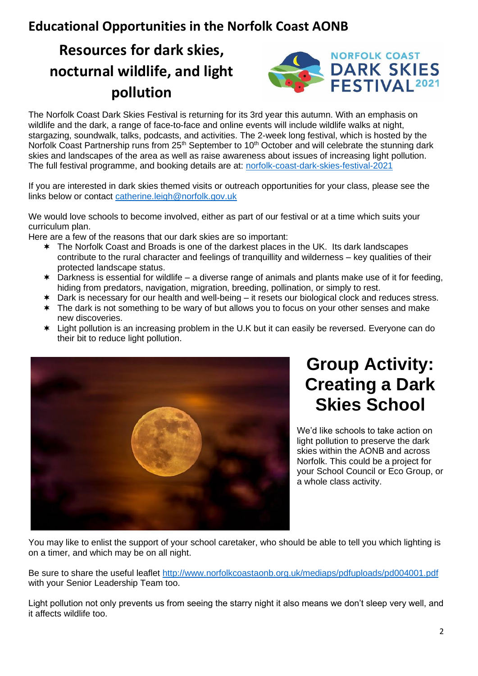# **Resources for dark skies, nocturnal wildlife, and light pollution**



The Norfolk Coast Dark Skies Festival is returning for its 3rd year this autumn. With an emphasis on wildlife and the dark, a range of face-to-face and online events will include wildlife walks at night, stargazing, soundwalk, talks, podcasts, and activities. The 2-week long festival, which is hosted by the Norfolk Coast Partnership runs from 25<sup>th</sup> September to 10<sup>th</sup> October and will celebrate the stunning dark skies and landscapes of the area as well as raise awareness about issues of increasing light pollution. The full festival programme, and booking details are at: [norfolk-coast-dark-skies-festival-2021](http://www.norfolkcoastaonb.org.uk/partnership/norfolk-coast-dark-skies-festival-2021/1229)

If you are interested in dark skies themed visits or outreach opportunities for your class, please see the links below or contact [catherine.leigh@norfolk.gov.uk](mailto:catherine.leigh@norfolk.gov.uk) 

We would love schools to become involved, either as part of our festival or at a time which suits your curriculum plan.

Here are a few of the reasons that our dark skies are so important:

- The Norfolk Coast and Broads is one of the darkest places in the UK. Its dark landscapes contribute to the rural character and feelings of tranquillity and wilderness – key qualities of their protected landscape status.
- $*$  Darkness is essential for wildlife a diverse range of animals and plants make use of it for feeding, hiding from predators, navigation, migration, breeding, pollination, or simply to rest.
- \* Dark is necessary for our health and well-being it resets our biological clock and reduces stress.
- \* The dark is not something to be wary of but allows you to focus on your other senses and make new discoveries.
- Light pollution is an increasing problem in the U.K but it can easily be reversed. Everyone can do their bit to reduce light pollution.



# **Group Activity: Creating a Dark Skies School**

We'd like schools to take action on light pollution to preserve the dark skies within the AONB and across Norfolk. This could be a project for your School Council or Eco Group, or a whole class activity.

You may like to enlist the support of your school caretaker, who should be able to tell you which lighting is on a timer, and which may be on all night.

Be sure to share the useful leaflet<http://www.norfolkcoastaonb.org.uk/mediaps/pdfuploads/pd004001.pdf> with your Senior Leadership Team too.

Light pollution not only prevents us from seeing the starry night it also means we don't sleep very well, and it affects wildlife too.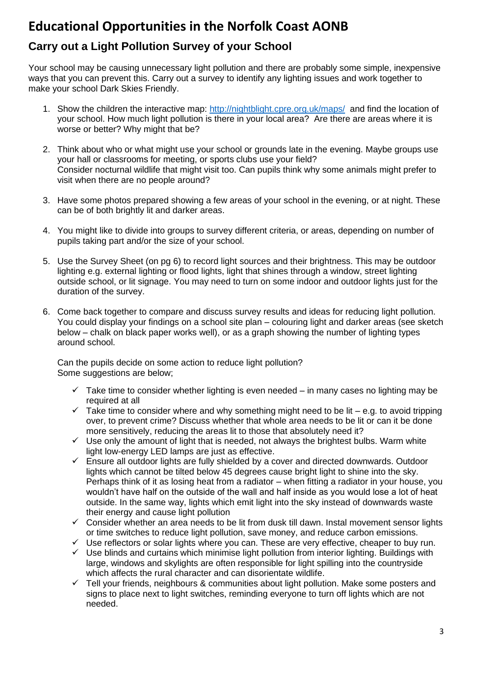### **Carry out a Light Pollution Survey of your School**

Your school may be causing unnecessary light pollution and there are probably some simple, inexpensive ways that you can prevent this. Carry out a survey to identify any lighting issues and work together to make your school Dark Skies Friendly.

- 1. Show the children the interactive map:<http://nightblight.cpre.org.uk/maps/> and find the location of your school. How much light pollution is there in your local area? Are there are areas where it is worse or better? Why might that be?
- 2. Think about who or what might use your school or grounds late in the evening. Maybe groups use your hall or classrooms for meeting, or sports clubs use your field? Consider nocturnal wildlife that might visit too. Can pupils think why some animals might prefer to visit when there are no people around?
- 3. Have some photos prepared showing a few areas of your school in the evening, or at night. These can be of both brightly lit and darker areas.
- 4. You might like to divide into groups to survey different criteria, or areas, depending on number of pupils taking part and/or the size of your school.
- 5. Use the Survey Sheet (on pg 6) to record light sources and their brightness. This may be outdoor lighting e.g. external lighting or flood lights, light that shines through a window, street lighting outside school, or lit signage. You may need to turn on some indoor and outdoor lights just for the duration of the survey.
- 6. Come back together to compare and discuss survey results and ideas for reducing light pollution. You could display your findings on a school site plan – colouring light and darker areas (see sketch below – chalk on black paper works well), or as a graph showing the number of lighting types around school.

Can the pupils decide on some action to reduce light pollution? Some suggestions are below;

- $\checkmark$  Take time to consider whether lighting is even needed in many cases no lighting may be required at all
- $\checkmark$  Take time to consider where and why something might need to be lit e.g. to avoid tripping over, to prevent crime? Discuss whether that whole area needs to be lit or can it be done more sensitively, reducing the areas lit to those that absolutely need it?
- $\checkmark$  Use only the amount of light that is needed, not always the brightest bulbs. Warm white light low-energy LED lamps are just as effective.
- $\checkmark$  Ensure all outdoor lights are fully shielded by a cover and directed downwards. Outdoor lights which cannot be tilted below 45 degrees cause bright light to shine into the sky. Perhaps think of it as losing heat from a radiator – when fitting a radiator in your house, you wouldn't have half on the outside of the wall and half inside as you would lose a lot of heat outside. In the same way, lights which emit light into the sky instead of downwards waste their energy and cause light pollution
- ✓ Consider whether an area needs to be lit from dusk till dawn. Instal movement sensor lights or time switches to reduce light pollution, save money, and reduce carbon emissions.
- $\checkmark$  Use reflectors or solar lights where you can. These are very effective, cheaper to buy run.
- ✓ Use blinds and curtains which minimise light pollution from interior lighting. Buildings with large, windows and skylights are often responsible for light spilling into the countryside which affects the rural character and can disorientate wildlife.
- $\checkmark$  Tell vour friends, neighbours & communities about light pollution. Make some posters and signs to place next to light switches, reminding everyone to turn off lights which are not needed.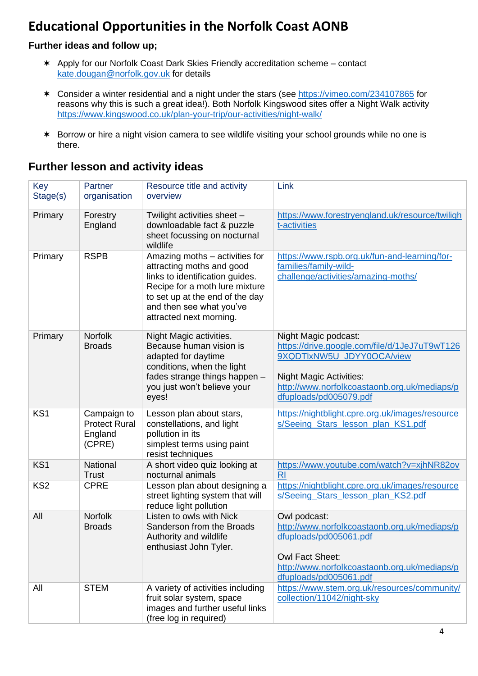#### **Further ideas and follow up;**

- Apply for our Norfolk Coast Dark Skies Friendly accreditation scheme contact [kate.dougan@norfolk.gov.uk](mailto:kate.dougan@norfolk.gov.uk) for details
- Consider a winter residential and a night under the stars (see<https://vimeo.com/234107865> for reasons why this is such a great idea!). Both Norfolk Kingswood sites offer a Night Walk activity <https://www.kingswood.co.uk/plan-your-trip/our-activities/night-walk/>
- \* Borrow or hire a night vision camera to see wildlife visiting your school grounds while no one is there.

| Key<br>Stage(s) | Partner<br>organisation                                  | Resource title and activity<br>overview                                                                                                                                                                                    | Link                                                                                                                                                                                                           |
|-----------------|----------------------------------------------------------|----------------------------------------------------------------------------------------------------------------------------------------------------------------------------------------------------------------------------|----------------------------------------------------------------------------------------------------------------------------------------------------------------------------------------------------------------|
| Primary         | Forestry<br>England                                      | Twilight activities sheet -<br>downloadable fact & puzzle<br>sheet focussing on nocturnal<br>wildlife                                                                                                                      | https://www.forestryengland.uk/resource/twiligh<br>t-activities                                                                                                                                                |
| Primary         | <b>RSPB</b>                                              | Amazing moths - activities for<br>attracting moths and good<br>links to identification guides.<br>Recipe for a moth lure mixture<br>to set up at the end of the day<br>and then see what you've<br>attracted next morning. | https://www.rspb.org.uk/fun-and-learning/for-<br>families/family-wild-<br>challenge/activities/amazing-moths/                                                                                                  |
| Primary         | <b>Norfolk</b><br><b>Broads</b>                          | Night Magic activities.<br>Because human vision is<br>adapted for daytime<br>conditions, when the light<br>fades strange things happen -<br>you just won't believe your<br>eyes!                                           | Night Magic podcast:<br>https://drive.google.com/file/d/1JeJ7uT9wT126<br>9XQDTIxNW5U JDYY0OCA/view<br><b>Night Magic Activities:</b><br>http://www.norfolkcoastaonb.org.uk/mediaps/p<br>dfuploads/pd005079.pdf |
| KS <sub>1</sub> | Campaign to<br><b>Protect Rural</b><br>England<br>(CPRE) | Lesson plan about stars,<br>constellations, and light<br>pollution in its<br>simplest terms using paint<br>resist techniques                                                                                               | https://nightblight.cpre.org.uk/images/resource<br>s/Seeing Stars lesson plan KS1.pdf                                                                                                                          |
| KS <sub>1</sub> | National<br><b>Trust</b>                                 | A short video quiz looking at<br>nocturnal animals                                                                                                                                                                         | https://www.youtube.com/watch?v=xjhNR82ov<br>R <sub>l</sub>                                                                                                                                                    |
| KS <sub>2</sub> | <b>CPRE</b>                                              | Lesson plan about designing a<br>street lighting system that will<br>reduce light pollution                                                                                                                                | https://nightblight.cpre.org.uk/images/resource<br>s/Seeing_Stars_lesson_plan_KS2.pdf                                                                                                                          |
| All             | <b>Norfolk</b><br><b>Broads</b>                          | Listen to owls with Nick<br>Sanderson from the Broads<br>Authority and wildlife<br>enthusiast John Tyler.                                                                                                                  | Owl podcast:<br>http://www.norfolkcoastaonb.org.uk/mediaps/p<br>dfuploads/pd005061.pdf<br><b>Owl Fact Sheet:</b><br>http://www.norfolkcoastaonb.org.uk/mediaps/p<br>dfuploads/pd005061.pdf                     |
| All             | <b>STEM</b>                                              | A variety of activities including<br>fruit solar system, space<br>images and further useful links<br>(free log in required)                                                                                                | https://www.stem.org.uk/resources/community/<br>collection/11042/night-sky                                                                                                                                     |

#### **Further lesson and activity ideas**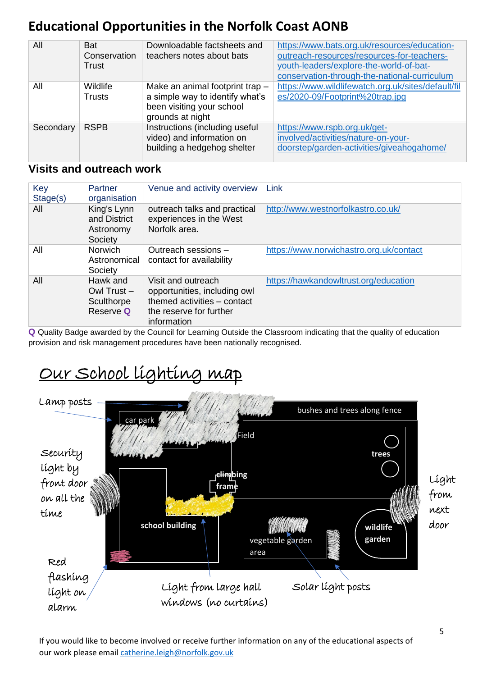| All       | <b>Bat</b><br>Conservation<br>Trust | Downloadable factsheets and<br>teachers notes about bats                                                            | https://www.bats.org.uk/resources/education-<br>outreach-resources/resources-for-teachers-<br>youth-leaders/explore-the-world-of-bat-<br>conservation-through-the-national-curriculum |
|-----------|-------------------------------------|---------------------------------------------------------------------------------------------------------------------|---------------------------------------------------------------------------------------------------------------------------------------------------------------------------------------|
| All       | Wildlife<br><b>Trusts</b>           | Make an animal footprint trap -<br>a simple way to identify what's<br>been visiting your school<br>grounds at night | https://www.wildlifewatch.org.uk/sites/default/fil<br>es/2020-09/Footprint%20trap.jpg                                                                                                 |
| Secondary | <b>RSPB</b>                         | Instructions (including useful<br>video) and information on<br>building a hedgehog shelter                          | https://www.rspb.org.uk/get-<br>involved/activities/nature-on-your-<br>doorstep/garden-activities/giveahogahome/                                                                      |

#### **Visits and outreach work**

| Key<br>Stage(s) | Partner<br>organisation                              | Venue and activity overview                                                                                                 | Link                                    |
|-----------------|------------------------------------------------------|-----------------------------------------------------------------------------------------------------------------------------|-----------------------------------------|
| All             | King's Lynn<br>and District<br>Astronomy<br>Society  | outreach talks and practical<br>experiences in the West<br>Norfolk area.                                                    | http://www.westnorfolkastro.co.uk/      |
| All             | <b>Norwich</b><br>Astronomical<br>Society            | Outreach sessions -<br>contact for availability                                                                             | https://www.norwichastro.org.uk/contact |
| All             | Hawk and<br>Owl Trust $-$<br>Sculthorpe<br>Reserve Q | Visit and outreach<br>opportunities, including owl<br>themed activities - contact<br>the reserve for further<br>information | https://hawkandowltrust.org/education   |

**Q** Quality Badge awarded by the Council for Learning Outside the Classroom indicating that the quality of education provision and risk management procedures have been nationally recognised.

# Our School lighting map



If you would like to become involved or receive further information on any of the educational aspects of our work please email [catherine.leigh@norfolk.gov.uk](mailto:catherine.leigh@norfolk.gov.uk)